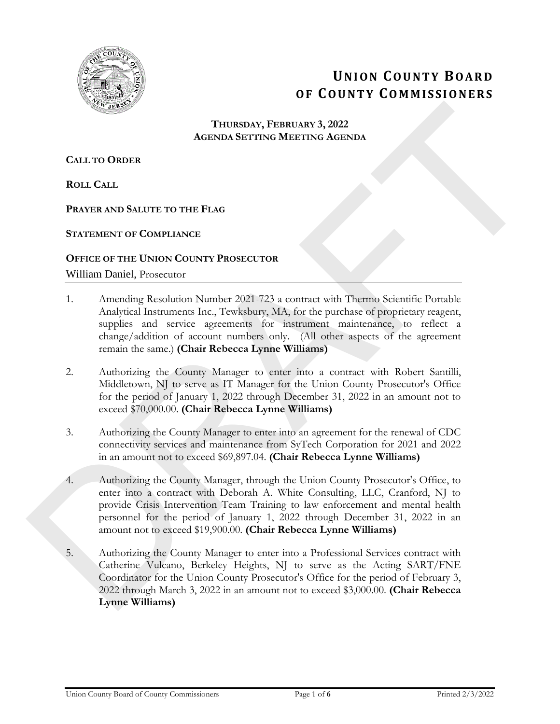

# **UNION COUNTY BOARD OF COUNTY COMMISSIONERS**

#### **THURSDAY, FEBRUARY 3, 2022 AGENDA SETTING MEETING AGENDA**

**CALL TO ORDER**

**ROLL CALL**

#### **PRAYER AND SALUTE TO THE FLAG**

**STATEMENT OF COMPLIANCE**

**OFFICE OF THE UNION COUNTY PROSECUTOR** William Daniel, Prosecutor

- 1. Amending Resolution Number 2021-723 a contract with Thermo Scientific Portable Analytical Instruments Inc., Tewksbury, MA, for the purchase of proprietary reagent, supplies and service agreements for instrument maintenance, to reflect a change/addition of account numbers only. (All other aspects of the agreement remain the same.) **(Chair Rebecca Lynne Williams)**
- 2. Authorizing the County Manager to enter into a contract with Robert Santilli, Middletown, NJ to serve as IT Manager for the Union County Prosecutor's Office for the period of January 1, 2022 through December 31, 2022 in an amount not to exceed \$70,000.00. **(Chair Rebecca Lynne Williams)**
- 3. Authorizing the County Manager to enter into an agreement for the renewal of CDC connectivity services and maintenance from SyTech Corporation for 2021 and 2022 in an amount not to exceed \$69,897.04. **(Chair Rebecca Lynne Williams)**
- 4. Authorizing the County Manager, through the Union County Prosecutor's Office, to enter into a contract with Deborah A. White Consulting, LLC, Cranford, NJ to provide Crisis Intervention Team Training to law enforcement and mental health personnel for the period of January 1, 2022 through December 31, 2022 in an amount not to exceed \$19,900.00. **(Chair Rebecca Lynne Williams)**
- 5. Authorizing the County Manager to enter into a Professional Services contract with Catherine Vulcano, Berkeley Heights, NJ to serve as the Acting SART/FNE Coordinator for the Union County Prosecutor's Office for the period of February 3, 2022 through March 3, 2022 in an amount not to exceed \$3,000.00. **(Chair Rebecca Lynne Williams) THESSAY, FEBRUARY 3, 2022**<br> **AGENDA SETTING AGENDA**<br> **CALL TO ORDER**<br> **RAFTING TO THE FLAG**<br> **PRAFTIMENT OF THE FLAG**<br> **DRAFTING OF THE UNION CONTRACT PRODUCTOR**<br> **OFFICE OF THE UNION CONTRACT PRODUCTOR**<br> **OFFICE OF THE**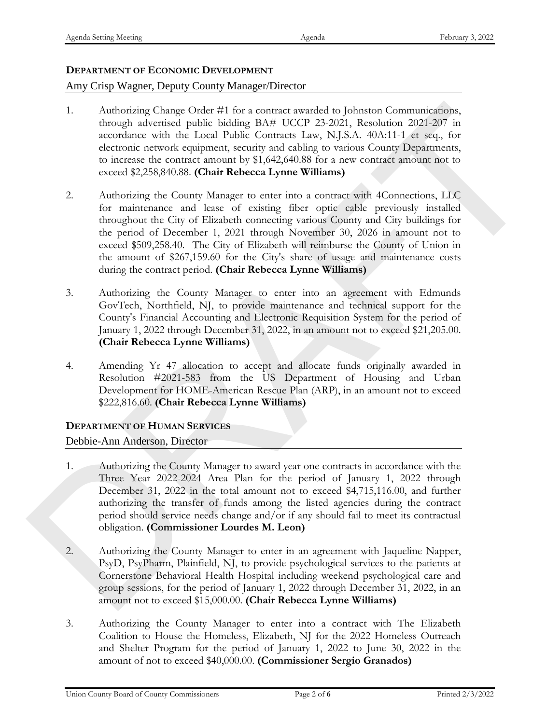# **DEPARTMENT OF ECONOMIC DEVELOPMENT**

## Amy Crisp Wagner, Deputy County Manager/Director

- 1. Authorizing Change Order #1 for a contract awarded to Johnston Communications, through advertised public bidding BA# UCCP 23-2021, Resolution 2021-207 in accordance with the Local Public Contracts Law, N.J.S.A. 40A:11-1 et seq., for electronic network equipment, security and cabling to various County Departments, to increase the contract amount by \$1,642,640.88 for a new contract amount not to exceed \$2,258,840.88. **(Chair Rebecca Lynne Williams)**
- 2. Authorizing the County Manager to enter into a contract with 4Connections, LLC for maintenance and lease of existing fiber optic cable previously installed throughout the City of Elizabeth connecting various County and City buildings for the period of December 1, 2021 through November 30, 2026 in amount not to exceed \$509,258.40. The City of Elizabeth will reimburse the County of Union in the amount of \$267,159.60 for the City's share of usage and maintenance costs during the contract period. **(Chair Rebecca Lynne Williams)** 1. Anderwing Cronge Celubre II for a rounnear ancached to phenome commutivating, the according of the Fig. (2013) MS-Coreagn and the User (and Public Concernent sings, MS-A (0.011-) at swept on each the Coreagn and Celubr
	- 3. Authorizing the County Manager to enter into an agreement with Edmunds GovTech, Northfield, NJ, to provide maintenance and technical support for the County's Financial Accounting and Electronic Requisition System for the period of January 1, 2022 through December 31, 2022, in an amount not to exceed \$21,205.00. **(Chair Rebecca Lynne Williams)**
	- 4. Amending Yr 47 allocation to accept and allocate funds originally awarded in Resolution #2021-583 from the US Department of Housing and Urban Development for HOME-American Rescue Plan (ARP), in an amount not to exceed \$222,816.60. **(Chair Rebecca Lynne Williams)**

## **DEPARTMENT OF HUMAN SERVICES**

## Debbie-Ann Anderson, Director

- 1. Authorizing the County Manager to award year one contracts in accordance with the Three Year 2022-2024 Area Plan for the period of January 1, 2022 through December 31, 2022 in the total amount not to exceed \$4,715,116.00, and further authorizing the transfer of funds among the listed agencies during the contract period should service needs change and/or if any should fail to meet its contractual obligation. **(Commissioner Lourdes M. Leon)**
- 2. Authorizing the County Manager to enter in an agreement with Jaqueline Napper, PsyD, PsyPharm, Plainfield, NJ, to provide psychological services to the patients at Cornerstone Behavioral Health Hospital including weekend psychological care and group sessions, for the period of January 1, 2022 through December 31, 2022, in an amount not to exceed \$15,000.00. **(Chair Rebecca Lynne Williams)**
- 3. Authorizing the County Manager to enter into a contract with The Elizabeth Coalition to House the Homeless, Elizabeth, NJ for the 2022 Homeless Outreach and Shelter Program for the period of January 1, 2022 to June 30, 2022 in the amount of not to exceed \$40,000.00. **(Commissioner Sergio Granados)**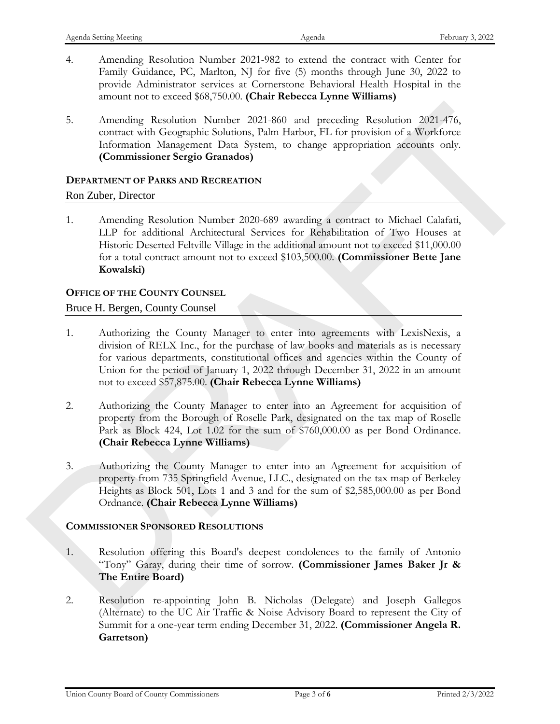- 4. Amending Resolution Number 2021-982 to extend the contract with Center for Family Guidance, PC, Marlton, NJ for five (5) months through June 30, 2022 to provide Administrator services at Cornerstone Behavioral Health Hospital in the amount not to exceed \$68,750.00. **(Chair Rebecca Lynne Williams)**
- 5. Amending Resolution Number 2021-860 and preceding Resolution 2021-476, contract with Geographic Solutions, Palm Harbor, FL for provision of a Workforce Information Management Data System, to change appropriation accounts only. **(Commissioner Sergio Granados)**

#### **DEPARTMENT OF PARKS AND RECREATION**

#### Ron Zuber, Director

1. Amending Resolution Number 2020-689 awarding a contract to Michael Calafati, LLP for additional Architectural Services for Rehabilitation of Two Houses at Historic Deserted Feltville Village in the additional amount not to exceed \$11,000.00 for a total contract amount not to exceed \$103,500.00. **(Commissioner Bette Jane Kowalski)** 5. Amending Resolution Number 2021-860 and preceding Resolution 2021-476,<br>
constrained with Grographic Solutions, Palm Highley, FRI, for provision of a Workforce<br>
Information of amgeneus Data System. to change appropriati

#### **OFFICE OF THE COUNTY COUNSEL**

#### Bruce H. Bergen, County Counsel

- 1. Authorizing the County Manager to enter into agreements with LexisNexis, a division of RELX Inc., for the purchase of law books and materials as is necessary for various departments, constitutional offices and agencies within the County of Union for the period of January 1, 2022 through December 31, 2022 in an amount not to exceed \$57,875.00. **(Chair Rebecca Lynne Williams)**
- 2. Authorizing the County Manager to enter into an Agreement for acquisition of property from the Borough of Roselle Park, designated on the tax map of Roselle Park as Block 424, Lot 1.02 for the sum of \$760,000.00 as per Bond Ordinance. **(Chair Rebecca Lynne Williams)**
- 3. Authorizing the County Manager to enter into an Agreement for acquisition of property from 735 Springfield Avenue, LLC., designated on the tax map of Berkeley Heights as Block 501, Lots 1 and 3 and for the sum of \$2,585,000.00 as per Bond Ordnance. **(Chair Rebecca Lynne Williams)**

#### **COMMISSIONER SPONSORED RESOLUTIONS**

- 1. Resolution offering this Board's deepest condolences to the family of Antonio "Tony" Garay, during their time of sorrow. **(Commissioner James Baker Jr & The Entire Board)**
- 2. Resolution re-appointing John B. Nicholas (Delegate) and Joseph Gallegos (Alternate) to the UC Air Traffic & Noise Advisory Board to represent the City of Summit for a one-year term ending December 31, 2022. **(Commissioner Angela R. Garretson)**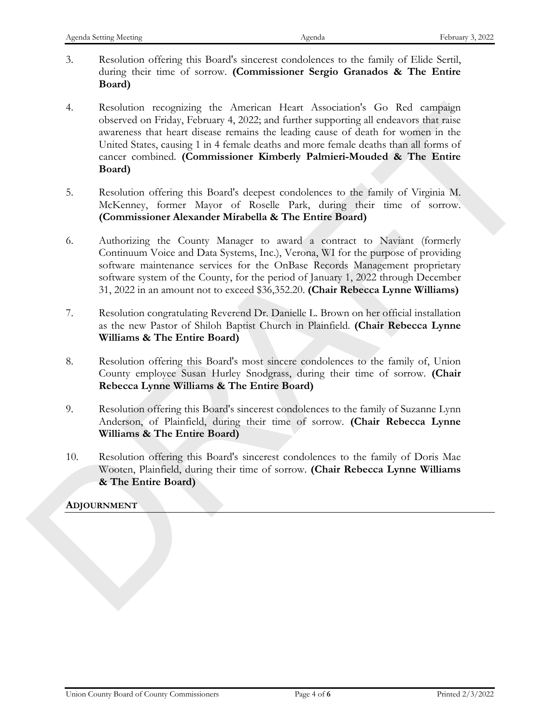- 3. Resolution offering this Board's sincerest condolences to the family of Elide Sertil, during their time of sorrow. **(Commissioner Sergio Granados & The Entire Board)**
- 4. Resolution recognizing the American Heart Association's Go Red campaign observed on Friday, February 4, 2022; and further supporting all endeavors that raise awareness that heart disease remains the leading cause of death for women in the United States, causing 1 in 4 female deaths and more female deaths than all forms of cancer combined. **(Commissioner Kimberly Palmieri-Mouded & The Entire Board)** 4. Resolution recognization the American Untern Association's Go Red complision<br>colored on Figure 1, Pennsity ARC2, and further supporting all endeavors that makes a<br>record on Figure 1, the<br>analysis and more fermionical c
	- 5. Resolution offering this Board's deepest condolences to the family of Virginia M. McKenney, former Mayor of Roselle Park, during their time of sorrow. **(Commissioner Alexander Mirabella & The Entire Board)**
	- 6. Authorizing the County Manager to award a contract to Naviant (formerly Continuum Voice and Data Systems, Inc.), Verona, WI for the purpose of providing software maintenance services for the OnBase Records Management proprietary software system of the County, for the period of January 1, 2022 through December 31, 2022 in an amount not to exceed \$36,352.20. **(Chair Rebecca Lynne Williams)**
	- 7. Resolution congratulating Reverend Dr. Danielle L. Brown on her official installation as the new Pastor of Shiloh Baptist Church in Plainfield. **(Chair Rebecca Lynne Williams & The Entire Board)**
	- 8. Resolution offering this Board's most sincere condolences to the family of, Union County employee Susan Hurley Snodgrass, during their time of sorrow. **(Chair Rebecca Lynne Williams & The Entire Board)**
	- 9. Resolution offering this Board's sincerest condolences to the family of Suzanne Lynn Anderson, of Plainfield, during their time of sorrow. **(Chair Rebecca Lynne Williams & The Entire Board)**
	- 10. Resolution offering this Board's sincerest condolences to the family of Doris Mae Wooten, Plainfield, during their time of sorrow. **(Chair Rebecca Lynne Williams & The Entire Board)**

#### **ADJOURNMENT**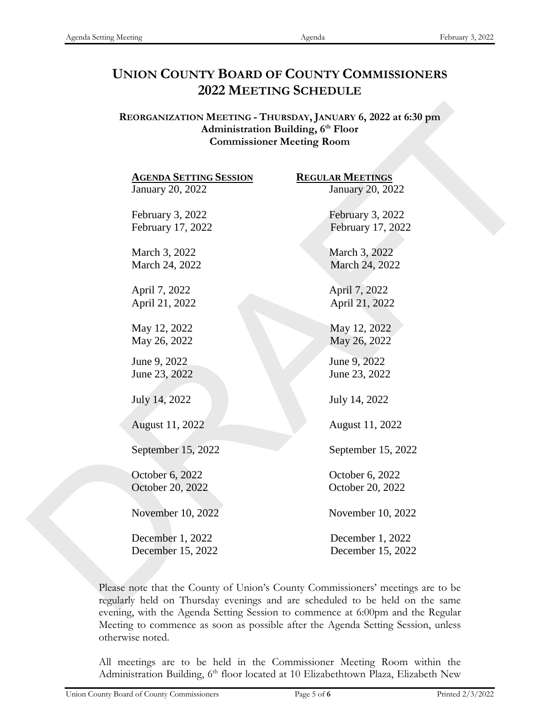# **UNION COUNTY BOARD OF COUNTY COMMISSIONERS 2022 MEETING SCHEDULE**

| <b>AGENDA SETTING SESSION</b> | <b>REGULAR MEETINGS</b> |
|-------------------------------|-------------------------|
| January 20, 2022              | January 20, 2022        |
| February 3, 2022              | February 3, 2022        |
| February 17, 2022             | February 17, 2022       |
| March 3, 2022                 | March 3, 2022           |
| March 24, 2022                | March 24, 2022          |
| April 7, 2022                 | April 7, 2022           |
| April 21, 2022                | April 21, 2022          |
| May 12, 2022                  | May 12, 2022            |
| May 26, 2022                  | May 26, 2022            |
| June 9, 2022                  | June 9, 2022            |
| June 23, 2022                 | June 23, 2022           |
| July 14, 2022                 | July 14, 2022           |
|                               |                         |
| August 11, 2022               | August 11, 2022         |
| September 15, 2022            | September 15, 2022      |
| October 6, 2022               | October 6, 2022         |
| October 20, 2022              | October 20, 2022        |
| November 10, 2022             | November 10, 2022       |
|                               |                         |
| December 1, 2022              | December 1, 2022        |
| December 15, 2022             | December 15, 2022       |

Please note that the County of Union's County Commissioners' meetings are to be regularly held on Thursday evenings and are scheduled to be held on the same evening, with the Agenda Setting Session to commence at 6:00pm and the Regular Meeting to commence as soon as possible after the Agenda Setting Session, unless otherwise noted.

All meetings are to be held in the Commissioner Meeting Room within the Administration Building, 6<sup>th</sup> floor located at 10 Elizabethtown Plaza, Elizabeth New